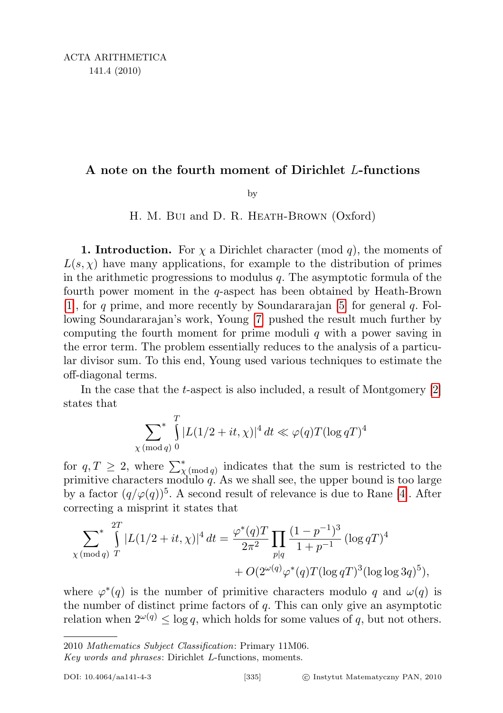## A note on the fourth moment of Dirichlet L-functions

by

## H. M. Bui and D. R. HEATH-BROWN (Oxford)

**1. Introduction.** For  $\chi$  a Dirichlet character (mod q), the moments of  $L(s, \chi)$  have many applications, for example to the distribution of primes in the arithmetic progressions to modulus  $q$ . The asymptotic formula of the fourth power moment in the  $q$ -aspect has been obtained by Heath-Brown [\[1\]](#page-8-0), for q prime, and more recently by Soundardarian [\[5\]](#page-8-0) for general q. Following Soundararajan's work, Young [\[7\]](#page-8-0) pushed the result much further by computing the fourth moment for prime moduli  $q$  with a power saving in the error term. The problem essentially reduces to the analysis of a particular divisor sum. To this end, Young used various techniques to estimate the off-diagonal terms.

In the case that the t-aspect is also included, a result of Montgomery [\[2\]](#page-8-0) states that

$$
\sum_{\chi \pmod{q}} \int_{0}^{T} |L(1/2+it,\chi)|^4 dt \ll \varphi(q)T(\log qT)^4
$$

for  $q, T \geq 2$ , where  $\sum_{\chi \pmod{q}}^*$  indicates that the sum is restricted to the primitive characters modulo  $q$ . As we shall see, the upper bound is too large by a factor  $(q/\varphi(q))^5$ . A second result of relevance is due to Rane [\[4\]](#page-8-0). After correcting a misprint it states that

$$
\sum_{\chi \pmod{q}}^{2T} |L(1/2 + it, \chi)|^4 dt = \frac{\varphi^*(q)T}{2\pi^2} \prod_{p|q} \frac{(1 - p^{-1})^3}{1 + p^{-1}} (\log q)^4 + O(2^{\omega(q)} \varphi^*(q) T (\log q)^3 (\log \log 3q)^5),
$$

where  $\varphi^*(q)$  is the number of primitive characters modulo q and  $\omega(q)$  is the number of distinct prime factors of  $q$ . This can only give an asymptotic relation when  $2^{\omega(q)} \le \log q$ , which holds for some values of q, but not others.

<sup>2010</sup> Mathematics Subject Classification: Primary 11M06.

Key words and phrases: Dirichlet L-functions, moments.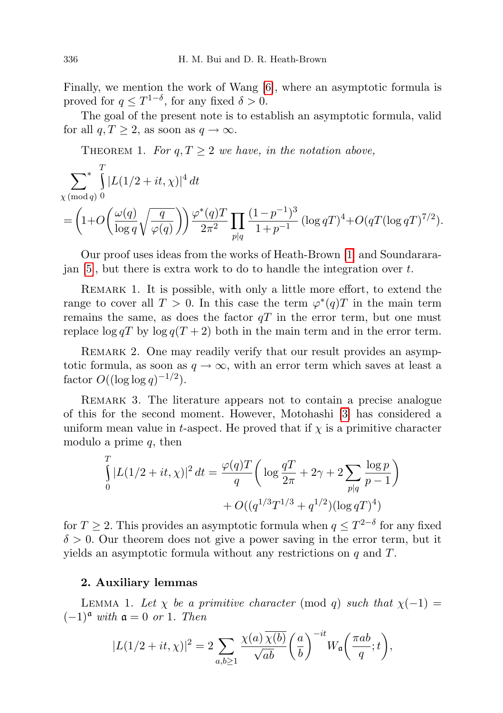Finally, we mention the work of Wang [\[6\]](#page-8-0), where an asymptotic formula is proved for  $q \leq T^{1-\delta}$ , for any fixed  $\delta > 0$ .

The goal of the present note is to establish an asymptotic formula, valid for all  $q, T \geq 2$ , as soon as  $q \to \infty$ .

THEOREM 1. For  $q, T \geq 2$  we have, in the notation above,

$$
\sum_{\chi \, (\text{mod } q)}^* \int_{0}^{T} |L(1/2 + it, \chi)|^4 dt
$$

$$
= \left(1+O\left(\frac{\omega(q)}{\log q} \sqrt{\frac{q}{\varphi(q)}}\right)\right) \frac{\varphi^*(q)T}{2\pi^2} \prod_{p|q} \frac{(1-p^{-1})^3}{1+p^{-1}} \left(\log qT\right)^4 + O(qT(\log qT)^{7/2}).
$$

Our proof uses ideas from the works of Heath-Brown [\[1\]](#page-8-0) and Soundarara- $\alpha$  ian [\[5\]](#page-8-0), but there is extra work to do to handle the integration over t.

Remark 1. It is possible, with only a little more effort, to extend the range to cover all  $T > 0$ . In this case the term  $\varphi^*(q)T$  in the main term remains the same, as does the factor  $qT$  in the error term, but one must replace  $\log qT$  by  $\log q(T + 2)$  both in the main term and in the error term.

REMARK 2. One may readily verify that our result provides an asymptotic formula, as soon as  $q \to \infty$ , with an error term which saves at least a factor  $O((\log \log q)^{-1/2})$ .

REMARK 3. The literature appears not to contain a precise analogue of this for the second moment. However, Motohashi [\[3\]](#page-8-0) has considered a uniform mean value in t-aspect. He proved that if  $\chi$  is a primitive character modulo a prime  $q$ , then

$$
\int_{0}^{T} |L(1/2 + it, \chi)|^2 dt = \frac{\varphi(q)T}{q} \left( \log \frac{qT}{2\pi} + 2\gamma + 2 \sum_{p|q} \frac{\log p}{p-1} \right) + O((q^{1/3}T^{1/3} + q^{1/2})(\log qT)^4)
$$

for  $T \geq 2$ . This provides an asymptotic formula when  $q \leq T^{2-\delta}$  for any fixed  $\delta > 0$ . Our theorem does not give a power saving in the error term, but it yields an asymptotic formula without any restrictions on q and T.

## 2. Auxiliary lemmas

LEMMA 1. Let  $\chi$  be a primitive character (mod q) such that  $\chi(-1) =$  $(-1)^{\mathfrak{a}}$  with  $\mathfrak{a} = 0$  or 1. Then

$$
|L(1/2+it,\chi)|^2 = 2\sum_{a,b\geq 1} \frac{\chi(a)\,\overline{\chi(b)}}{\sqrt{ab}}\bigg(\frac{a}{b}\bigg)^{-it}W_{\mathfrak{a}}\bigg(\frac{\pi ab}{q};t\bigg),\,
$$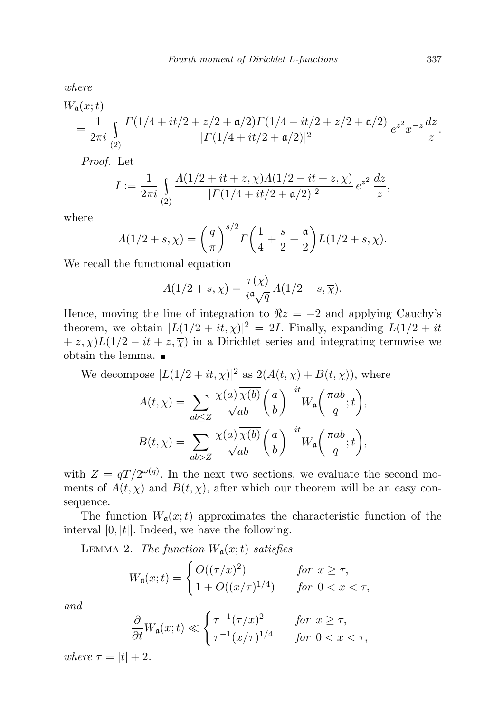where

$$
W_{\mathfrak{a}}(x;t) = \frac{1}{2\pi i} \int_{(2)} \frac{\Gamma(1/4 + it/2 + z/2 + \mathfrak{a}/2) \Gamma(1/4 - it/2 + z/2 + \mathfrak{a}/2)}{|\Gamma(1/4 + it/2 + \mathfrak{a}/2)|^2} e^{z^2} x^{-z} \frac{dz}{z}.
$$

Proof. Let

$$
I := \frac{1}{2\pi i} \int_{(2)} \frac{A(1/2 + it + z, \chi)A(1/2 - it + z, \overline{\chi})}{|\Gamma(1/4 + it/2 + \mathfrak{a}/2)|^2} e^{z^2} \frac{dz}{z},
$$

where

$$
\Lambda(1/2+s,\chi) = \left(\frac{q}{\pi}\right)^{s/2} \Gamma\left(\frac{1}{4} + \frac{s}{2} + \frac{\mathfrak{a}}{2}\right) L(1/2+s,\chi).
$$

We recall the functional equation

$$
\Lambda(1/2+s,\chi)=\frac{\tau(\chi)}{i^{\mathfrak{a}}\sqrt{q}}\,\Lambda(1/2-s,\overline{\chi}).
$$

Hence, moving the line of integration to  $\Re z = -2$  and applying Cauchy's theorem, we obtain  $|L(1/2 + it, \chi)|^2 = 2I$ . Finally, expanding  $L(1/2 + it)$  $+ z$ ,  $\chi$ )L(1/2 – it + z,  $\overline{\chi}$ ) in a Dirichlet series and integrating termwise we obtain the lemma.

We decompose 
$$
|L(1/2 + it, \chi)|^2
$$
 as  $2(A(t, \chi) + B(t, \chi))$ , where  
\n
$$
A(t, \chi) = \sum_{ab \le Z} \frac{\chi(a) \overline{\chi(b)}}{\sqrt{ab}} \left(\frac{a}{b}\right)^{-it} W_a\left(\frac{\pi ab}{q}; t\right),
$$
\n
$$
B(t, \chi) = \sum_{ab > Z} \frac{\chi(a) \overline{\chi(b)}}{\sqrt{ab}} \left(\frac{a}{b}\right)^{-it} W_a\left(\frac{\pi ab}{q}; t\right),
$$

with  $Z = qT/2^{\omega(q)}$ . In the next two sections, we evaluate the second moments of  $A(t, \chi)$  and  $B(t, \chi)$ , after which our theorem will be an easy consequence.

The function  $W_a(x;t)$  approximates the characteristic function of the interval  $[0, |t|]$ . Indeed, we have the following.

LEMMA 2. The function  $W_a(x;t)$  satisfies

$$
W_{\mathfrak{a}}(x;t) = \begin{cases} O((\tau/x)^2) & \text{for } x \ge \tau, \\ 1 + O((x/\tau)^{1/4}) & \text{for } 0 < x < \tau, \end{cases}
$$

and

$$
\frac{\partial}{\partial t}W_{\mathfrak{a}}(x;t) \ll \begin{cases} \tau^{-1}(\tau/x)^2 & \text{for } x \ge \tau, \\ \tau^{-1}(x/\tau)^{1/4} & \text{for } 0 < x < \tau, \end{cases}
$$

where  $\tau = |t| + 2$ .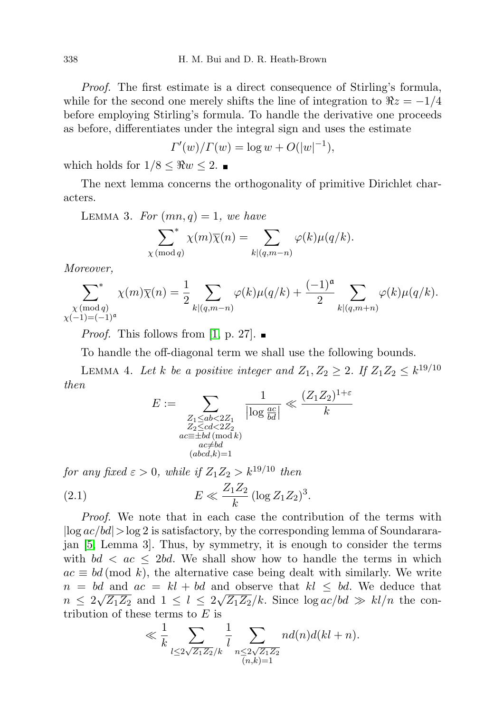Proof. The first estimate is a direct consequence of Stirling's formula, while for the second one merely shifts the line of integration to  $\Re z = -1/4$ before employing Stirling's formula. To handle the derivative one proceeds as before, differentiates under the integral sign and uses the estimate

$$
\Gamma'(w)/\Gamma(w) = \log w + O(|w|^{-1}),
$$

which holds for  $1/8 \leq \Re w \leq 2$ .

The next lemma concerns the orthogonality of primitive Dirichlet characters.

LEMMA 3. For  $(mn, q) = 1$ , we have

$$
\sum_{\chi \pmod{q}}^* \chi(m)\overline{\chi}(n) = \sum_{k|(q,m-n)} \varphi(k)\mu(q/k).
$$

Moreover,

$$
\sum_{\substack{\chi \pmod{q} \\ \chi(-1) = (-1)^a}}^* \chi(m)\overline{\chi}(n) = \frac{1}{2} \sum_{k|(q,m-n)} \varphi(k)\mu(q/k) + \frac{(-1)^a}{2} \sum_{k|(q,m+n)} \varphi(k)\mu(q/k).
$$

*Proof.* This follows from [\[1,](#page-8-1) p. 27].

To handle the off-diagonal term we shall use the following bounds.

LEMMA 4. Let k be a positive integer and  $Z_1, Z_2 \geq 2$ . If  $Z_1 Z_2 \leq k^{19/10}$ then

<span id="page-3-0"></span>
$$
E := \sum_{\substack{Z_1 \le ab < 2Z_1 \\ Z_2 \le cd < 2Z_2 \\ ac \equiv \pm bd \, (\text{mod } k) \\ ac \ne bd \\ (abcd, k) = 1}} \frac{1}{|\log \frac{ac}{bd}|} \ll \frac{(Z_1 Z_2)^{1+\varepsilon}}{k}
$$

for any fixed  $\varepsilon > 0$ , while if  $Z_1 Z_2 > k^{19/10}$  then (2.1)  $E \ll \frac{Z_1 Z_2}{I}$  $\frac{1}{2}$   $(\log Z_1 Z_2)^3$ .

Proof. We note that in each case the contribution of the terms with  $|\log ac/bd|>$ log 2 is satisfactory, by the corresponding lemma of Soundararajan [\[5,](#page-9-0) Lemma 3]. Thus, by symmetry, it is enough to consider the terms with  $bd < ac \leq 2bd$ . We shall show how to handle the terms in which  $ac \equiv bd \pmod{k}$ , the alternative case being dealt with similarly. We write  $n = bd$  and  $ac = kl + bd$  and observe that  $kl \leq bd$ . We deduce that  $n \leq 2\sqrt{Z_1Z_2}$  and  $1 \leq l \leq 2\sqrt{Z_1Z_2}/k$ . Since  $\log ac/bd \gg kl/n$  the contribution of these terms to  $E$  is

$$
\ll \frac{1}{k} \sum_{l \le 2\sqrt{Z_1 Z_2}/k} \frac{1}{l} \sum_{\substack{n \le 2\sqrt{Z_1 Z_2} \\ (n,k)=1}} n d(n) d(kl+n).
$$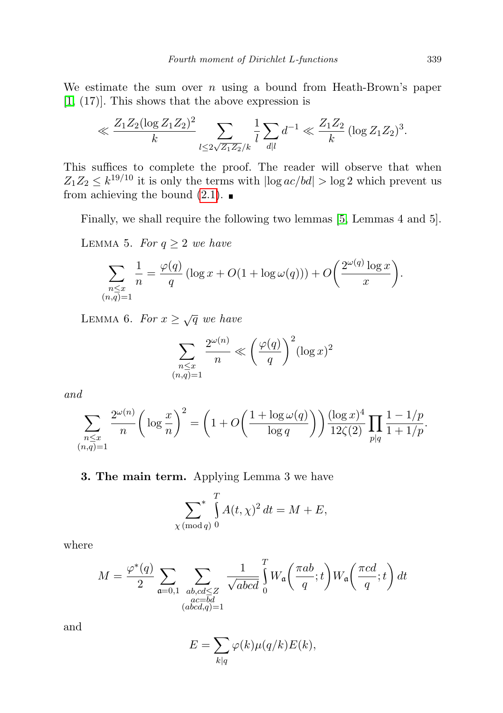We estimate the sum over  $n$  using a bound from Heath-Brown's paper [\[1,](#page-8-1) (17)]. This shows that the above expression is

$$
\ll \frac{Z_1 Z_2 (\log Z_1 Z_2)^2}{k} \sum_{l \leq 2\sqrt{Z_1 Z_2}/k} \frac{1}{l} \sum_{d|l} d^{-1} \ll \frac{Z_1 Z_2}{k} (\log Z_1 Z_2)^3.
$$

This suffices to complete the proof. The reader will observe that when  $Z_1 Z_2 \leq k^{19/10}$  it is only the terms with  $|\log ac/bd| > \log 2$  which prevent us from achieving the bound  $(2.1)$ .

Finally, we shall require the following two lemmas [\[5,](#page-9-0) Lemmas 4 and 5].

LEMMA 5. For  $q \geq 2$  we have

$$
\sum_{\substack{n \le x \\ (n,q)=1}} \frac{1}{n} = \frac{\varphi(q)}{q} \left( \log x + O(1 + \log \omega(q)) \right) + O\left(\frac{2^{\omega(q)} \log x}{x}\right).
$$

LEMMA 6. For  $x \geq \sqrt{q}$  we have

$$
\sum_{\substack{n \le x \\ (n,q)=1}} \frac{2^{\omega(n)}}{n} \ll \left(\frac{\varphi(q)}{q}\right)^2 (\log x)^2
$$

and

$$
\sum_{\substack{n \le x \\ (n,q)=1}} \frac{2^{\omega(n)}}{n} \bigg( \log \frac{x}{n} \bigg)^2 = \bigg( 1 + O\bigg( \frac{1 + \log \omega(q)}{\log q} \bigg) \bigg) \frac{(\log x)^4}{12\zeta(2)} \prod_{p \mid q} \frac{1 - 1/p}{1 + 1/p}.
$$

3. The main term. Applying Lemma 3 we have

$$
\sum_{\chi \pmod{q}}^{T} \int_{0}^{T} A(t, \chi)^{2} dt = M + E,
$$

where

$$
M = \frac{\varphi^*(q)}{2} \sum_{\substack{\mathfrak{a} = 0,1 \\ a \text{ odd}, q \ge 1 \\ (abcd,q) = 1}} \frac{1}{\sqrt{abcd}} \int_0^T W_{\mathfrak{a}}\left(\frac{\pi ab}{q}; t\right) W_{\mathfrak{a}}\left(\frac{\pi cd}{q}; t\right) dt
$$

and

$$
E = \sum_{k|q} \varphi(k)\mu(q/k)E(k),
$$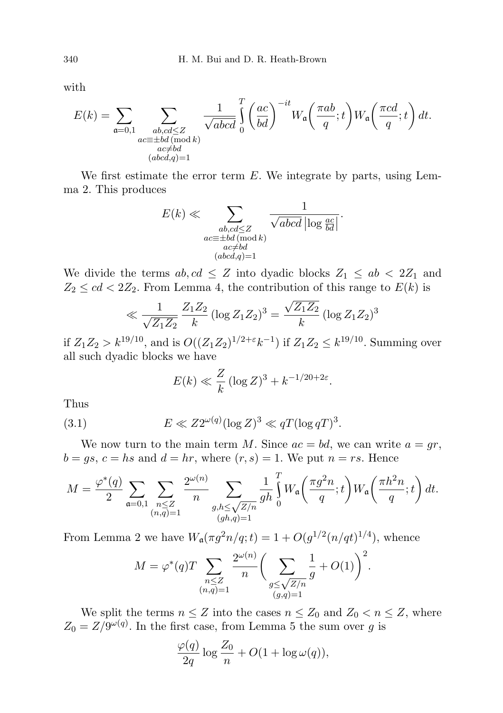with

$$
E(k) = \sum_{\substack{\mathfrak{a} = 0,1 \\ ac \equiv \pm bd \, (\text{mod } k) \\ ac \neq bd}} \sum_{\substack{\mathfrak{a}b, cd \leq Z \\ ac \neq bd}} \frac{1}{\sqrt{abcd}} \int_{0}^{T} \left(\frac{ac}{bd}\right)^{-it} W_{\mathfrak{a}}\left(\frac{\pi ab}{q}; t\right) W_{\mathfrak{a}}\left(\frac{\pi cd}{q}; t\right) dt.
$$

 $\overline{a}$ 

We first estimate the error term  $E$ . We integrate by parts, using Lemma 2. This produces

$$
E(k) \ll \sum_{\substack{ab, cd \le Z \\ ac \equiv \pm bd \, (\text{mod } k) \\ ac \neq bd \\ (abcd,q)=1}} \frac{1}{\sqrt{abcd} \, |\log \frac{ac}{bd}|}.
$$

We divide the terms  $ab, cd \leq Z$  into dyadic blocks  $Z_1 \leq ab < 2Z_1$  and  $Z_2 \leq cd < 2Z_2$ . From Lemma 4, the contribution of this range to  $E(k)$  is

$$
\ll \frac{1}{\sqrt{Z_1 Z_2}} \frac{Z_1 Z_2}{k} (\log Z_1 Z_2)^3 = \frac{\sqrt{Z_1 Z_2}}{k} (\log Z_1 Z_2)^3
$$

if  $Z_1 Z_2 > k^{19/10}$ , and is  $O((Z_1 Z_2)^{1/2 + \epsilon} k^{-1})$  if  $Z_1 Z_2 \leq k^{19/10}$ . Summing over all such dyadic blocks we have

<span id="page-5-0"></span>
$$
E(k) \ll \frac{Z}{k} (\log Z)^3 + k^{-1/20 + 2\varepsilon}.
$$

Thus

(3.1) 
$$
E \ll Z2^{\omega(q)} (\log Z)^3 \ll qT(\log qT)^3.
$$

We now turn to the main term M. Since  $ac = bd$ , we can write  $a = gr$ ,  $b = gs, c = hs$  and  $d = hr$ , where  $(r, s) = 1$ . We put  $n = rs$ . Hence

$$
M = \frac{\varphi^*(q)}{2} \sum_{\mathfrak{a}=0,1} \sum_{\substack{n \leq Z \\ (n,q)=1}} \frac{2^{\omega(n)}}{n} \sum_{\substack{g,h \leq \sqrt{Z/n} \\ (gh,q)=1}} \frac{1}{gh} \int_0^T W_{\mathfrak{a}}\left(\frac{\pi g^2 n}{q};t\right) W_{\mathfrak{a}}\left(\frac{\pi h^2 n}{q};t\right) dt.
$$

From Lemma 2 we have  $W_a(\pi g^2 n/q;t) = 1 + O(g^{1/2}(n/qt)^{1/4})$ , whence

$$
M = \varphi^*(q) T \sum_{\substack{n \le Z \\ (n,q)=1}} \frac{2^{\omega(n)}}{n} \bigg( \sum_{\substack{g \le \sqrt{Z/n} \\ (g,q)=1}} \frac{1}{g} + O(1) \bigg)^2.
$$

We split the terms  $n \leq Z$  into the cases  $n \leq Z_0$  and  $Z_0 < n \leq Z$ , where  $Z_0 = Z/9^{\omega(q)}$ . In the first case, from Lemma 5 the sum over g is

$$
\frac{\varphi(q)}{2q} \log \frac{Z_0}{n} + O(1 + \log \omega(q)),
$$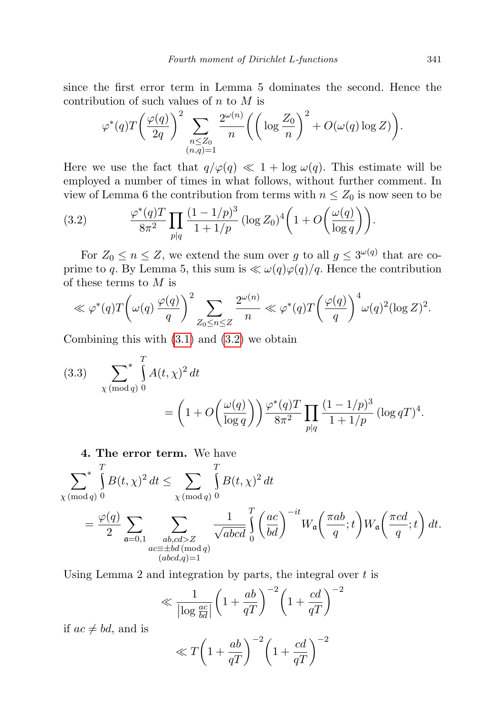since the first error term in Lemma 5 dominates the second. Hence the contribution of such values of  $n$  to  $M$  is

$$
\varphi^*(q)T\left(\frac{\varphi(q)}{2q}\right)^2 \sum_{\substack{n \le Z_0 \\ (n,q)=1}} \frac{2^{\omega(n)}}{n} \left( \left( \log \frac{Z_0}{n} \right)^2 + O(\omega(q) \log Z) \right).
$$

Here we use the fact that  $q/\varphi(q) \ll 1 + \log \omega(q)$ . This estimate will be employed a number of times in what follows, without further comment. In view of Lemma 6 the contribution from terms with  $n \leq Z_0$  is now seen to be

<span id="page-6-0"></span>(3.2) 
$$
\frac{\varphi^*(q)T}{8\pi^2} \prod_{p|q} \frac{(1-1/p)^3}{1+1/p} (\log Z_0)^4 \left(1+O\left(\frac{\omega(q)}{\log q}\right)\right).
$$

For  $Z_0 \le n \le Z$ , we extend the sum over g to all  $g \le 3^{\omega(q)}$  that are coprime to q. By Lemma 5, this sum is  $\ll \omega(q)\varphi(q)/q$ . Hence the contribution of these terms to  $M$  is

$$
\ll \varphi^*(q)T\left(\omega(q)\frac{\varphi(q)}{q}\right)^2 \sum_{Z_0 \le n \le Z} \frac{2^{\omega(n)}}{n} \ll \varphi^*(q)T\left(\frac{\varphi(q)}{q}\right)^4 \omega(q)^2(\log Z)^2.
$$

Combining this with [\(3.1\)](#page-5-0) and [\(3.2\)](#page-6-0) we obtain

<span id="page-6-1"></span>(3.3) 
$$
\sum_{\chi \pmod{q}}^{T} A(t, \chi)^2 dt = \left(1 + O\left(\frac{\omega(q)}{\log q}\right)\right) \frac{\varphi^*(q)T}{8\pi^2} \prod_{p|q} \frac{(1 - 1/p)^3}{1 + 1/p} (\log q)^4.
$$

4. The error term. We have

$$
\sum_{\chi \pmod{q}} \int_{0}^{T} B(t, \chi)^{2} dt \leq \sum_{\chi \pmod{q}} \int_{0}^{T} B(t, \chi)^{2} dt
$$
  
= 
$$
\frac{\varphi(q)}{2} \sum_{\substack{\mathfrak{a} \equiv \pm bd \pmod{q} \\ ac \equiv \pm bd \pmod{q} \\ (abcd,q)=1}} \frac{1}{\sqrt{abcd}} \int_{0}^{T} \left(\frac{ac}{bd}\right)^{-it} W_{\mathfrak{a}}\left(\frac{\pi ab}{q}; t\right) W_{\mathfrak{a}}\left(\frac{\pi cd}{q}; t\right) dt.
$$

Using Lemma 2 and integration by parts, the integral over  $t$  is

$$
\ll \frac{1}{\left|\log \frac{ac}{bd}\right|} \left(1 + \frac{ab}{qT}\right)^{-2} \left(1 + \frac{cd}{qT}\right)^{-2}
$$

if  $ac \neq bd$ , and is

$$
\ll T \bigg( 1 + \frac{ab}{qT} \bigg)^{-2} \bigg( 1 + \frac{cd}{qT} \bigg)^{-2}
$$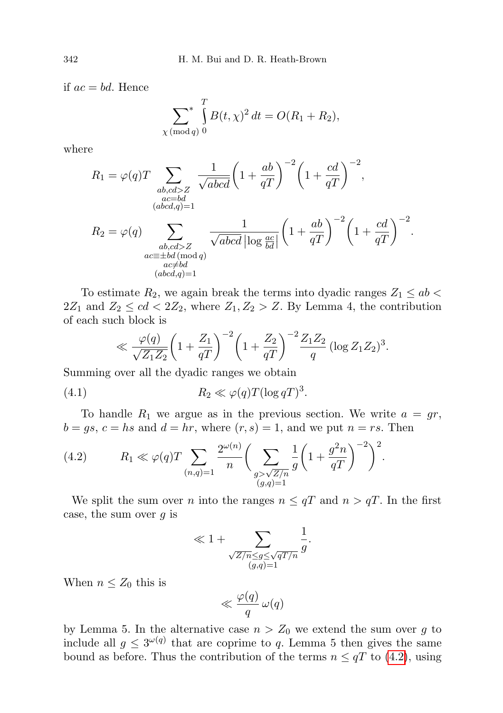if  $ac = bd$ . Hence

$$
\sum_{\chi \pmod{q}}^{T} B(t, \chi)^2 dt = O(R_1 + R_2),
$$

where

$$
R_1 = \varphi(q)T \sum_{\substack{ab, cd > Z \\ (abcd,q)=1}} \frac{1}{\sqrt{abcd}} \left(1 + \frac{ab}{qT}\right)^{-2} \left(1 + \frac{cd}{qT}\right)^{-2},
$$
  

$$
R_2 = \varphi(q) \sum_{\substack{ab, cd > Z \\ ac \equiv \pm bd \pmod{q} \\ (abcd,q)=1}} \frac{1}{\sqrt{abcd}} \log \frac{ac}{bd} \left(1 + \frac{ab}{qT}\right)^{-2} \left(1 + \frac{cd}{qT}\right)^{-2}.
$$

To estimate  $R_2$ , we again break the terms into dyadic ranges  $Z_1 \le ab$  $2Z_1$  and  $Z_2 \leq cd < 2Z_2$ , where  $Z_1, Z_2 > Z$ . By Lemma 4, the contribution of each such block is

<span id="page-7-1"></span>
$$
\ll \frac{\varphi(q)}{\sqrt{Z_1 Z_2}} \left(1 + \frac{Z_1}{qT}\right)^{-2} \left(1 + \frac{Z_2}{qT}\right)^{-2} \frac{Z_1 Z_2}{q} \left(\log Z_1 Z_2\right)^3.
$$

Summing over all the dyadic ranges we obtain

(4.1) 
$$
R_2 \ll \varphi(q) T (\log q)^3.
$$

To handle  $R_1$  we argue as in the previous section. We write  $a = gr$ ,  $b = gs, c = hs$  and  $d = hr$ , where  $(r, s) = 1$ , and we put  $n = rs$ . Then

<span id="page-7-0"></span>(4.2) 
$$
R_1 \ll \varphi(q)T \sum_{(n,q)=1} \frac{2^{\omega(n)}}{n} \bigg( \sum_{\substack{g > \sqrt{Z/n} \\ (g,q)=1}} \frac{1}{g} \bigg( 1 + \frac{g^2 n}{qT} \bigg)^{-2} \bigg)^2.
$$

We split the sum over *n* into the ranges  $n \leq qT$  and  $n > qT$ . In the first case, the sum over  $g$  is

$$
\ll 1 + \sum_{\substack{\sqrt{Z/n} \le g \le \sqrt{qT/n} \\ (g,q)=1}} \frac{1}{g}.
$$

1

When  $n \leq Z_0$  this is

$$
\ll \frac{\varphi(q)}{q} \,\omega(q)
$$

by Lemma 5. In the alternative case  $n > Z_0$  we extend the sum over g to include all  $g \leq 3^{\omega(q)}$  that are coprime to q. Lemma 5 then gives the same bound as before. Thus the contribution of the terms  $n \leq qT$  to [\(4.2\)](#page-7-0), using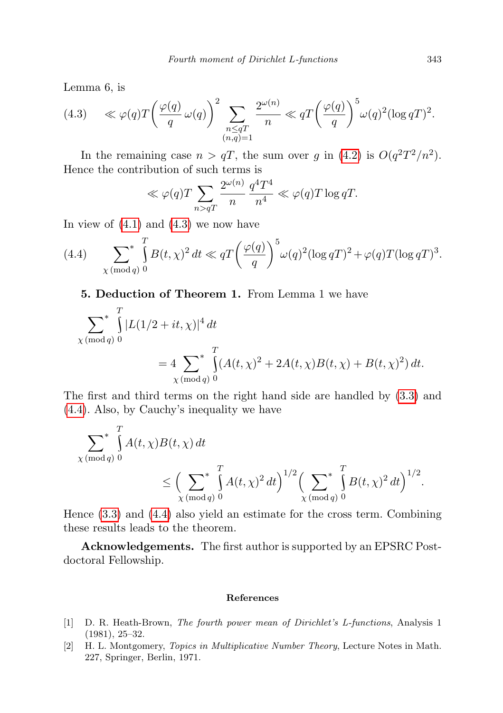Lemma 6, is

<span id="page-8-2"></span>(4.3) 
$$
\ll \varphi(q)T\left(\frac{\varphi(q)}{q}\,\omega(q)\right)^2 \sum_{\substack{n\leq qT\\(n,q)=1}} \frac{2^{\omega(n)}}{n} \ll qT\left(\frac{\varphi(q)}{q}\right)^5 \omega(q)^2 (\log qT)^2.
$$

In the remaining case  $n > qT$ , the sum over g in [\(4.2\)](#page-7-0) is  $O(q^2T^2/n^2)$ . Hence the contribution of such terms is

$$
\ll \varphi(q)T \sum_{n>qT} \frac{2^{\omega(n)}}{n} \frac{q^4 T^4}{n^4} \ll \varphi(q)T \log qT.
$$

In view of  $(4.1)$  and  $(4.3)$  we now have

<span id="page-8-3"></span>(4.4) 
$$
\sum_{\chi \pmod{q}} \int_{0}^{T} B(t,\chi)^{2} dt \ll qT \left(\frac{\varphi(q)}{q}\right)^{5} \omega(q)^{2} (\log qT)^{2} + \varphi(q)T(\log qT)^{3}.
$$

<span id="page-8-0"></span>5. Deduction of Theorem 1. From Lemma 1 we have

$$
\sum_{\chi \pmod{q}}^{T} |L(1/2 + it, \chi)|^4 dt
$$
  
=  $4 \sum_{\chi \pmod{q}}^{T} (A(t, \chi)^2 + 2A(t, \chi)B(t, \chi) + B(t, \chi)^2) dt.$ 

The first and third terms on the right hand side are handled by [\(3.3\)](#page-6-1) and [\(4.4\)](#page-8-3). Also, by Cauchy's inequality we have

$$
\sum_{\chi \pmod{q}}^{T} A(t, \chi) B(t, \chi) dt
$$
  
 
$$
\leq \left( \sum_{\chi \pmod{q}}^{T} A(t, \chi)^{2} dt \right)^{1/2} \left( \sum_{\chi \pmod{q}}^{T} B(t, \chi)^{2} dt \right)^{1/2}.
$$

Hence [\(3.3\)](#page-6-1) and [\(4.4\)](#page-8-3) also yield an estimate for the cross term. Combining these results leads to the theorem.

Acknowledgements. The first author is supported by an EPSRC Postdoctoral Fellowship.

## References

- <span id="page-8-1"></span>[1] D. R. Heath-Brown, The fourth power mean of Dirichlet's L-functions, Analysis 1 (1981), 25–32.
- [2] H. L. Montgomery, Topics in Multiplicative Number Theory, Lecture Notes in Math. 227, Springer, Berlin, 1971.